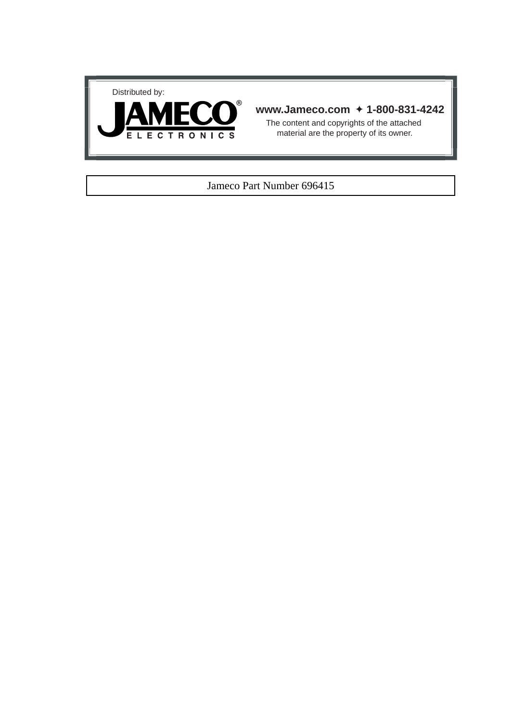



## **www.Jameco.com** ✦ **1-800-831-4242**

The content and copyrights of the attached material are the property of its owner.

### Jameco Part Number 696415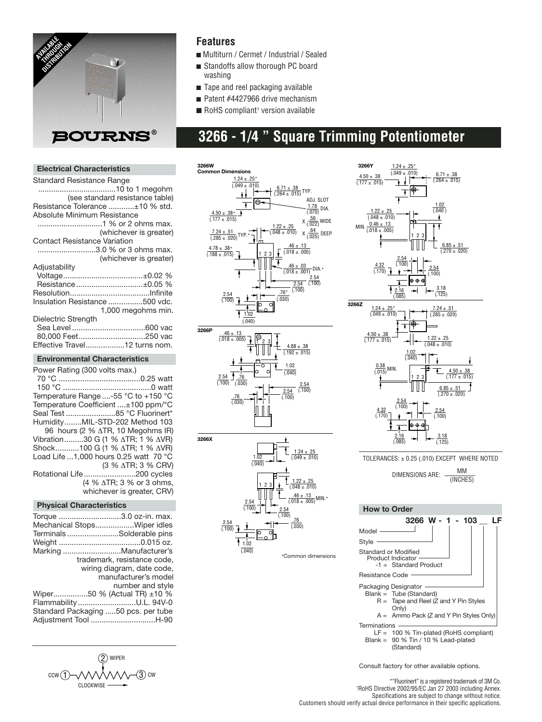

### **Features**

- Multiturn / Cermet / Industrial / Sealed
- Standoffs allow thorough PC board washing
- Tape and reel packaging available
- Patent #4427966 drive mechanism
- $\blacksquare$  RoHS compliant<sup>†</sup> version available

## **3266 - 1/4 " Square Trimming Potentiometer**

#### **Electrical Characteristics**

| <b>Standard Resistance Range</b>    |                                 |
|-------------------------------------|---------------------------------|
|                                     |                                 |
|                                     | (see standard resistance table) |
| Resistance Tolerance ±10 % std.     |                                 |
| Absolute Minimum Resistance         |                                 |
|                                     |                                 |
|                                     | (whichever is greater)          |
| <b>Contact Resistance Variation</b> |                                 |
|                                     | 3.0 % or 3 ohms max.            |
|                                     | (whichever is greater)          |
| Adjustability                       |                                 |
|                                     |                                 |
| Resistance±0.05 %                   |                                 |
|                                     |                                 |
| Insulation Resistance 500 vdc.      |                                 |
|                                     | 1,000 megohms min.              |
| Dielectric Strength                 |                                 |
|                                     |                                 |
| 80,000 Feet250 vac                  |                                 |
| Effective Travel12 turns nom.       |                                 |

#### **Environmental Characteristics**

| Power Rating (300 volts max.)<br>Temperature Range -55 °C to +150 °C<br>Temperature Coefficient ±100 ppm/°C<br>Seal Test 85 °C Fluorinert*<br>HumidityMIL-STD-202 Method 103<br>96 hours (2 % $\triangle$ TR, 10 Megohms IR)<br>Vibration30 G (1 % ΔTR; 1 % ΔVR) |
|------------------------------------------------------------------------------------------------------------------------------------------------------------------------------------------------------------------------------------------------------------------|
| Shock100 G (1 % ∆TR; 1 % ∆VR)<br>Load Life $1.000$ hours 0.25 watt 70 °C<br>(3 % $\triangle$ TR; 3 % CRV)                                                                                                                                                        |
| Rotational Life200 cycles<br>(4 % ∆TR; 3 % or 3 ohms,<br>whichever is greater, CRV)                                                                                                                                                                              |
| <b>Dhuginal Characteristics</b>                                                                                                                                                                                                                                  |

#### **Physical Character**

| Torque 3.0 oz-in. max.<br>Mechanical StopsWiper idles |
|-------------------------------------------------------|
| TerminalsSolderable pins                              |
|                                                       |
| Marking Manufacturer's                                |
| trademark, resistance code,                           |
| wiring diagram, date code,                            |
| manufacturer's model                                  |
| number and style                                      |
| Wiper50 % (Actual TR) $\pm$ 10 %                      |
| FlammabilityU.L. 94V-0                                |
| Standard Packaging 50 pcs. per tube                   |
| Adjustment Tool H-90                                  |
|                                                       |

 $\left( 3\right)$  cw CLOCKWISE  $ccw()$  $(2)$  WIPER





(INCHES)

#### **How to Order**



Consult factory for other available options.